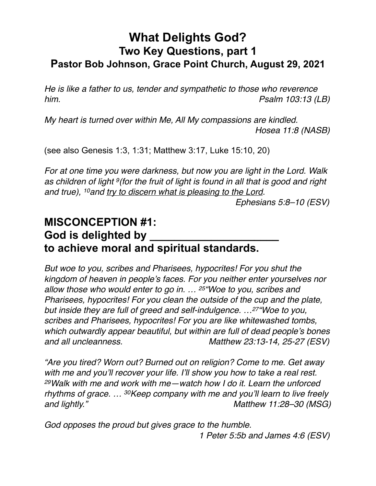## **What Delights God? Two Key Questions, part 1 Pastor Bob Johnson, Grace Point Church, August 29, 2021**

*He is like a father to us, tender and sympathetic to those who reverence him. Psalm 103:13 (LB)* 

*My heart is turned over within Me, All My compassions are kindled. Hosea 11:8 (NASB)* 

(see also Genesis 1:3, 1:31; Matthew 3:17, Luke 15:10, 20)

*For at one time you were darkness, but now you are light in the Lord. Walk as children of light 9(for the fruit of light is found in all that is good and right and true), 10and try to discern what is pleasing to the Lord.* 

 *Ephesians 5:8–10 (ESV)* 

## **MISCONCEPTION #1:**  God is delighted by **to achieve moral and spiritual standards.**

*But woe to you, scribes and Pharisees, hypocrites! For you shut the kingdom of heaven in people's faces. For you neither enter yourselves nor allow those who would enter to go in. … 25"Woe to you, scribes and Pharisees, hypocrites! For you clean the outside of the cup and the plate, but inside they are full of greed and self-indulgence. …27"Woe to you, scribes and Pharisees, hypocrites! For you are like whitewashed tombs, which outwardly appear beautiful, but within are full of dead people's bones and all uncleanness. Matthew 23:13-14, 25-27 (ESV)* 

*"Are you tired? Worn out? Burned out on religion? Come to me. Get away with me and you'll recover your life. I'll show you how to take a real rest. 29Walk with me and work with me—watch how I do it. Learn the unforced rhythms of grace. … 30Keep company with me and you'll learn to live freely and lightly." Matthew 11:28–30 (MSG)* 

*God opposes the proud but gives grace to the humble. 1 Peter 5:5b and James 4:6 (ESV)*